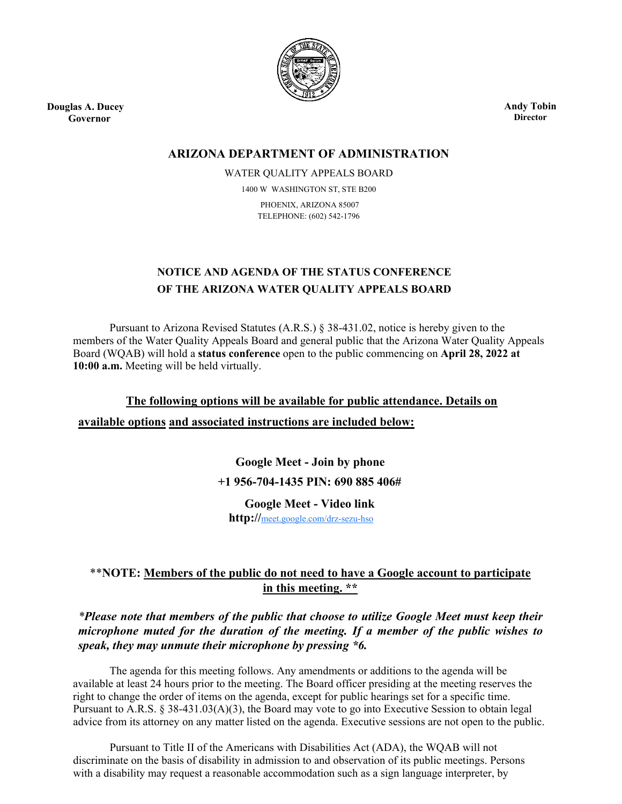

**Douglas A. Ducey Governor**

**Andy Tobin Director**

### **ARIZONA DEPARTMENT OF ADMINISTRATION**

WATER QUALITY APPEALS BOARD 1400 W WASHINGTON ST, STE B200 PHOENIX, ARIZONA 85007

TELEPHONE: (602) 542-1796

# **NOTICE AND AGENDA OF THE STATUS CONFERENCE OF THE ARIZONA WATER QUALITY APPEALS BOARD**

Pursuant to Arizona Revised Statutes (A.R.S.) § 38-431.02, notice is hereby given to the members of the Water Quality Appeals Board and general public that the Arizona Water Quality Appeals Board (WQAB) will hold a **status conference** open to the public commencing on **April 28, 2022 at 10:00 a.m.** Meeting will be held virtually.

**The following options will be available for public attendance. Details on available options and associated instructions are included below:**

> **Google Meet - Join by phone +1 956-704-1435 PIN: 690 885 406#**

**Google Meet - Video link**

**http://**[meet.google.com/drz-sezu-hso](https://meet.google.com/drz-sezu-hso?hs=122&authuser=0)

## \*\***NOTE: Members of the public do not need to have a Google account to participate in this meeting. \*\***

*\*Please note that members of the public that choose to utilize Google Meet must keep their microphone muted for the duration of the meeting. If a member of the public wishes to speak, they may unmute their microphone by pressing \*6.*

The agenda for this meeting follows. Any amendments or additions to the agenda will be available at least 24 hours prior to the meeting. The Board officer presiding at the meeting reserves the right to change the order of items on the agenda, except for public hearings set for a specific time. Pursuant to A.R.S. § 38-431.03(A)(3), the Board may vote to go into Executive Session to obtain legal advice from its attorney on any matter listed on the agenda. Executive sessions are not open to the public.

Pursuant to Title II of the Americans with Disabilities Act (ADA), the WQAB will not discriminate on the basis of disability in admission to and observation of its public meetings. Persons with a disability may request a reasonable accommodation such as a sign language interpreter, by